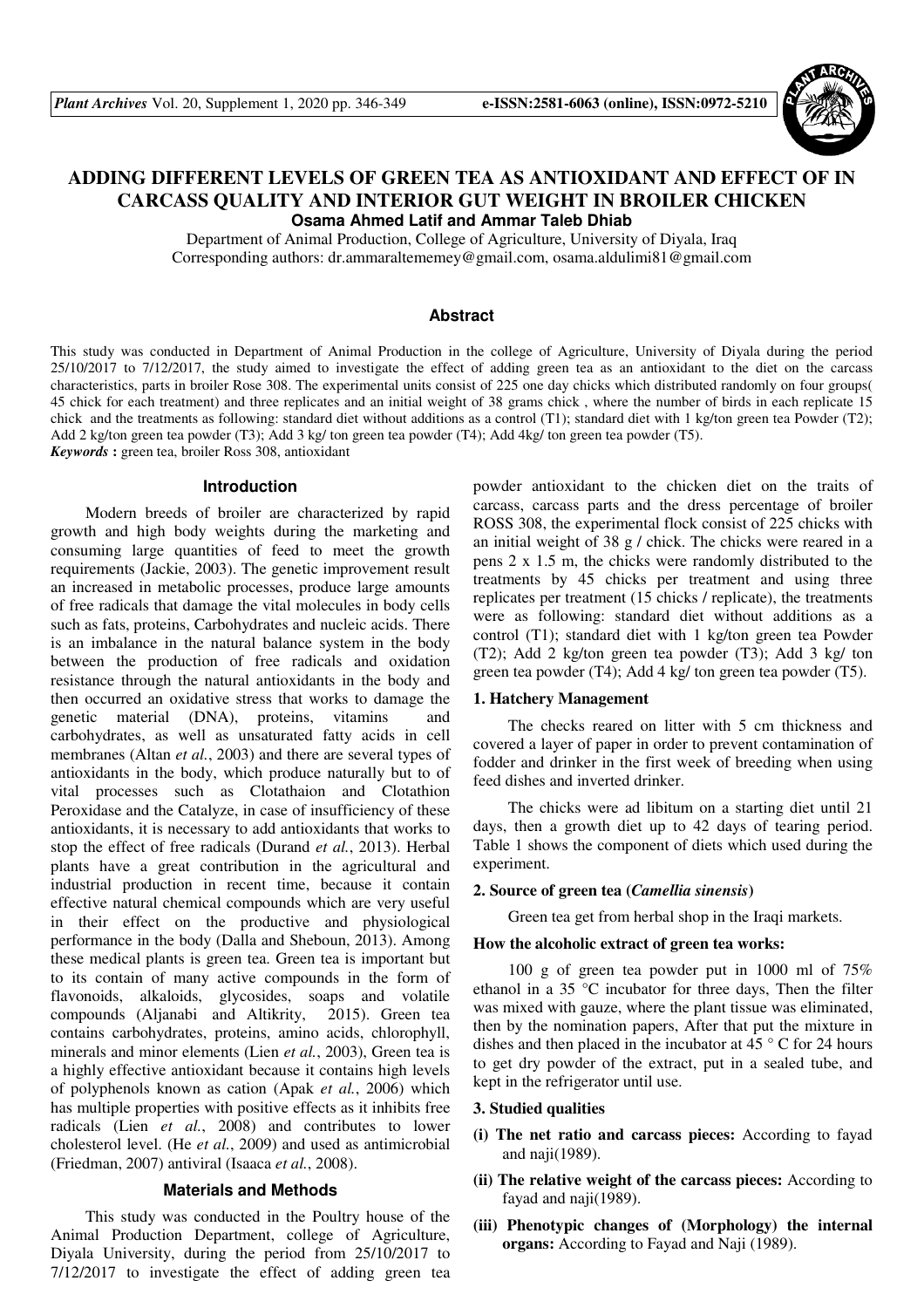

# **ADDING DIFFERENT LEVELS OF GREEN TEA AS ANTIOXIDANT AND EFFECT OF IN CARCASS QUALITY AND INTERIOR GUT WEIGHT IN BROILER CHICKEN Osama Ahmed Latif and Ammar Taleb Dhiab**

Department of Animal Production, College of Agriculture, University of Diyala, Iraq Corresponding authors: dr.ammaraltememey@gmail.com, osama.aldulimi81@gmail.com

## **Abstract**

This study was conducted in Department of Animal Production in the college of Agriculture, University of Diyala during the period 25/10/2017 to 7/12/2017, the study aimed to investigate the effect of adding green tea as an antioxidant to the diet on the carcass characteristics, parts in broiler Rose 308. The experimental units consist of 225 one day chicks which distributed randomly on four groups( 45 chick for each treatment) and three replicates and an initial weight of 38 grams chick , where the number of birds in each replicate 15 chick and the treatments as following: standard diet without additions as a control (T1); standard diet with 1 kg/ton green tea Powder (T2); Add 2 kg/ton green tea powder (T3); Add 3 kg/ ton green tea powder (T4); Add 4kg/ ton green tea powder (T5). *Keywords* **:** green tea, broiler Ross 308, antioxidant

#### **Introduction**

Modern breeds of broiler are characterized by rapid growth and high body weights during the marketing and consuming large quantities of feed to meet the growth requirements (Jackie, 2003). The genetic improvement result an increased in metabolic processes, produce large amounts of free radicals that damage the vital molecules in body cells such as fats, proteins, Carbohydrates and nucleic acids. There is an imbalance in the natural balance system in the body between the production of free radicals and oxidation resistance through the natural antioxidants in the body and then occurred an oxidative stress that works to damage the genetic material (DNA), proteins, vitamins and carbohydrates, as well as unsaturated fatty acids in cell membranes (Altan *et al.*, 2003) and there are several types of antioxidants in the body, which produce naturally but to of vital processes such as Clotathaion and Clotathion Peroxidase and the Catalyze, in case of insufficiency of these antioxidants, it is necessary to add antioxidants that works to stop the effect of free radicals (Durand *et al.*, 2013). Herbal plants have a great contribution in the agricultural and industrial production in recent time, because it contain effective natural chemical compounds which are very useful in their effect on the productive and physiological performance in the body (Dalla and Sheboun, 2013). Among these medical plants is green tea. Green tea is important but to its contain of many active compounds in the form of flavonoids, alkaloids, glycosides, soaps and volatile compounds (Aljanabi and Altikrity, 2015). Green tea contains carbohydrates, proteins, amino acids, chlorophyll, minerals and minor elements (Lien *et al.*, 2003), Green tea is a highly effective antioxidant because it contains high levels of polyphenols known as cation (Apak *et al.*, 2006) which has multiple properties with positive effects as it inhibits free radicals (Lien *et al.*, 2008) and contributes to lower cholesterol level. (He *et al.*, 2009) and used as antimicrobial (Friedman, 2007) antiviral (Isaaca *et al.*, 2008).

## **Materials and Methods**

This study was conducted in the Poultry house of the Animal Production Department, college of Agriculture, Diyala University, during the period from 25/10/2017 to 7/12/2017 to investigate the effect of adding green tea powder antioxidant to the chicken diet on the traits of carcass, carcass parts and the dress percentage of broiler ROSS 308, the experimental flock consist of 225 chicks with an initial weight of 38 g / chick. The chicks were reared in a pens 2 x 1.5 m, the chicks were randomly distributed to the treatments by 45 chicks per treatment and using three replicates per treatment (15 chicks / replicate), the treatments were as following: standard diet without additions as a control (T1); standard diet with 1 kg/ton green tea Powder (T2); Add 2 kg/ton green tea powder (T3); Add 3 kg/ ton green tea powder (T4); Add 4 kg/ ton green tea powder (T5).

#### **1. Hatchery Management**

The checks reared on litter with 5 cm thickness and covered a layer of paper in order to prevent contamination of fodder and drinker in the first week of breeding when using feed dishes and inverted drinker.

The chicks were ad libitum on a starting diet until 21 days, then a growth diet up to 42 days of tearing period. Table 1 shows the component of diets which used during the experiment.

## **2. Source of green tea (***Camellia sinensis***)**

Green tea get from herbal shop in the Iraqi markets.

### **How the alcoholic extract of green tea works:**

100 g of green tea powder put in 1000 ml of 75% ethanol in a 35 °C incubator for three days, Then the filter was mixed with gauze, where the plant tissue was eliminated, then by the nomination papers, After that put the mixture in dishes and then placed in the incubator at 45  $\degree$  C for 24 hours to get dry powder of the extract, put in a sealed tube, and kept in the refrigerator until use.

### **3. Studied qualities**

- **(i) The net ratio and carcass pieces:** According to fayad and naji(1989).
- **(ii) The relative weight of the carcass pieces:** According to fayad and naji(1989).
- **(iii) Phenotypic changes of (Morphology) the internal organs:** According to Fayad and Naji (1989).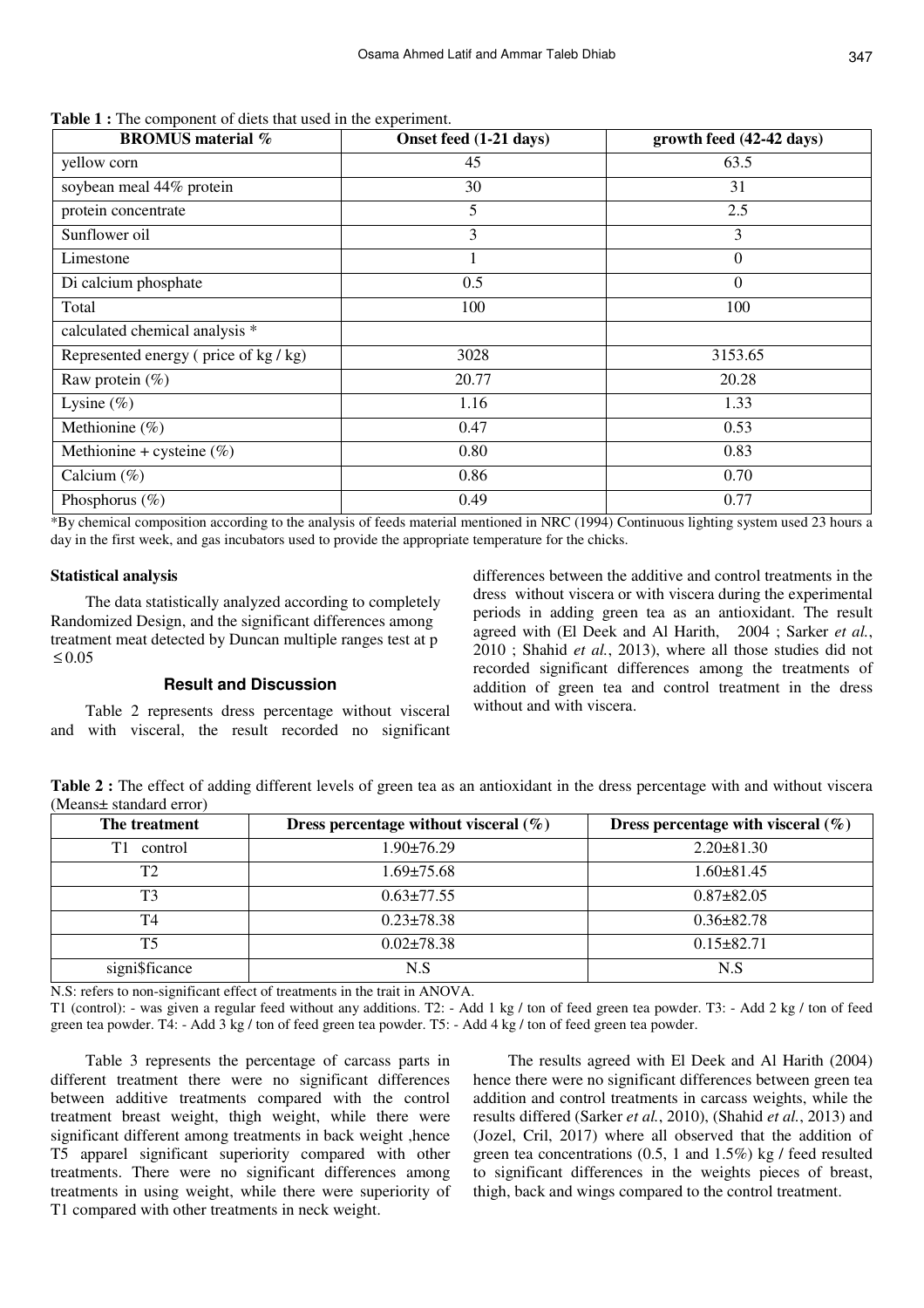| <b>BROMUS</b> material %            | Onset feed (1-21 days) | growth feed (42-42 days) |
|-------------------------------------|------------------------|--------------------------|
| yellow corn                         | 45                     | 63.5                     |
| soybean meal 44% protein            | 30                     | 31                       |
| protein concentrate                 | 5                      | 2.5                      |
| Sunflower oil                       | 3                      | 3                        |
| Limestone                           |                        | $\theta$                 |
| Di calcium phosphate                | 0.5                    | $\theta$                 |
| Total                               | 100                    | 100                      |
| calculated chemical analysis *      |                        |                          |
| Represented energy (price of kg/kg) | 3028                   | 3153.65                  |
| Raw protein $(\%)$                  | 20.77                  | 20.28                    |
| Lysine $(\%)$                       | 1.16                   | 1.33                     |
| Methionine (%)                      | 0.47                   | 0.53                     |
| Methionine + cysteine $(\%)$        | 0.80                   | 0.83                     |
| Calcium $(\%)$                      | 0.86                   | 0.70                     |
| Phosphorus $(\% )$                  | 0.49                   | 0.77                     |

**Table 1 :** The component of diets that used in the experiment.

\*By chemical composition according to the analysis of feeds material mentioned in NRC (1994) Continuous lighting system used 23 hours a day in the first week, and gas incubators used to provide the appropriate temperature for the chicks.

## **Statistical analysis**

The data statistically analyzed according to completely Randomized Design, and the significant differences among treatment meat detected by Duncan multiple ranges test at p ≤ 0.05

## **Result and Discussion**

Table 2 represents dress percentage without visceral and with visceral, the result recorded no significant

differences between the additive and control treatments in the dress without viscera or with viscera during the experimental periods in adding green tea as an antioxidant. The result agreed with (El Deek and Al Harith, 2004 ; Sarker *et al.*, 2010 ; Shahid *et al.*, 2013), where all those studies did not recorded significant differences among the treatments of addition of green tea and control treatment in the dress without and with viscera.

**Table 2 :** The effect of adding different levels of green tea as an antioxidant in the dress percentage with and without viscera (Means± standard error)

| The treatment  | Dress percentage without visceral $(\%)$ | Dress percentage with visceral $(\% )$ |
|----------------|------------------------------------------|----------------------------------------|
| Τ1<br>control  | 1.90±76.29                               | $2.20 \pm 81.30$                       |
| T2             | $1.69 \pm 75.68$                         | $1.60 \pm 81.45$                       |
| T <sub>3</sub> | $0.63 \pm 77.55$                         | $0.87 \pm 82.05$                       |
| T4             | $0.23 \pm 78.38$                         | $0.36 \pm 82.78$                       |
| T5             | $0.02 \pm 78.38$                         | $0.15 \pm 82.71$                       |
| signi\$ficance | N.S                                      | N.S                                    |

N.S: refers to non-significant effect of treatments in the trait in ANOVA.

T1 (control): - was given a regular feed without any additions. T2: - Add 1 kg / ton of feed green tea powder. T3: - Add 2 kg / ton of feed green tea powder. T4: - Add 3 kg / ton of feed green tea powder. T5: - Add 4 kg / ton of feed green tea powder.

Table 3 represents the percentage of carcass parts in different treatment there were no significant differences between additive treatments compared with the control treatment breast weight, thigh weight, while there were significant different among treatments in back weight ,hence T5 apparel significant superiority compared with other treatments. There were no significant differences among treatments in using weight, while there were superiority of T1 compared with other treatments in neck weight.

The results agreed with El Deek and Al Harith (2004) hence there were no significant differences between green tea addition and control treatments in carcass weights, while the results differed (Sarker *et al.*, 2010), (Shahid *et al.*, 2013) and (Jozel, Cril, 2017) where all observed that the addition of green tea concentrations (0.5, 1 and 1.5%) kg / feed resulted to significant differences in the weights pieces of breast, thigh, back and wings compared to the control treatment.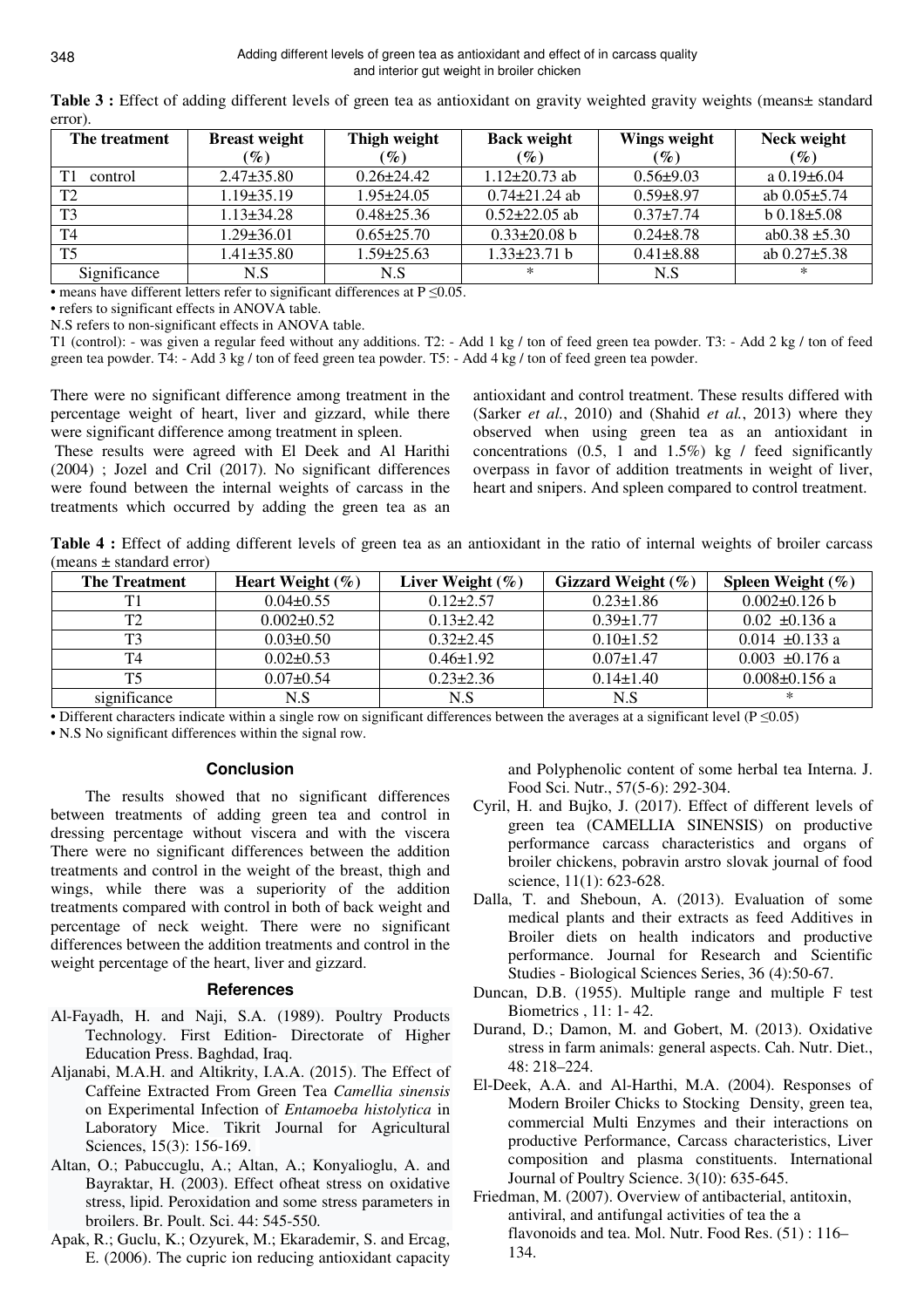| $\mathbf{U}$   |                           |                  |                     |                 |                     |
|----------------|---------------------------|------------------|---------------------|-----------------|---------------------|
| The treatment  | <b>Breast weight</b>      | Thigh weight     | <b>Back weight</b>  | Wings weight    | Neck weight         |
|                | $\mathcal{O}_\mathcal{O}$ | $\mathscr{G}_o$  | $\mathscr{G}_o$     | $(\%)$          | $(\%)$              |
| control        | $2.47 \pm 35.80$          | $0.26 \pm 24.42$ | $1.12 \pm 20.73$ ab | $0.56 \pm 9.03$ | a $0.19\pm 6.04$    |
| T <sub>2</sub> | $1.19\pm35.19$            | $1.95 \pm 24.05$ | $0.74 \pm 21.24$ ab | $0.59 \pm 8.97$ | ab $0.05 \pm 5.74$  |
| T <sub>3</sub> | $1.13 \pm 34.28$          | $0.48 \pm 25.36$ | $0.52 \pm 22.05$ ab | $0.37 \pm 7.74$ | $b$ 0.18 $\pm$ 5.08 |
| <b>T4</b>      | 1.29±36.01                | $0.65 \pm 25.70$ | $0.33 \pm 20.08$ b  | $0.24 \pm 8.78$ | ab0.38 $\pm$ 5.30   |
| T <sub>5</sub> | $1.41 \pm 35.80$          | $1.59 \pm 25.63$ | $1.33 \pm 23.71 b$  | $0.41 \pm 8.88$ | ab $0.27 \pm 5.38$  |
| Significance   | N.S                       | N.S              | ∗                   | N.S             | ∗                   |

Table 3 : Effect of adding different levels of green tea as antioxidant on gravity weighted gravity weights (means± standard error).

• means have different letters refer to significant differences at  $P \le 0.05$ .

• refers to significant effects in ANOVA table.

N.S refers to non-significant effects in ANOVA table.

T1 (control): - was given a regular feed without any additions. T2: - Add 1 kg / ton of feed green tea powder. T3: - Add 2 kg / ton of feed green tea powder. T4: - Add 3 kg / ton of feed green tea powder. T5: - Add 4 kg / ton of feed green tea powder.

There were no significant difference among treatment in the percentage weight of heart, liver and gizzard, while there were significant difference among treatment in spleen.

 These results were agreed with El Deek and Al Harithi (2004) ; Jozel and Cril (2017). No significant differences were found between the internal weights of carcass in the treatments which occurred by adding the green tea as an

antioxidant and control treatment. These results differed with (Sarker *et al.*, 2010) and (Shahid *et al.*, 2013) where they observed when using green tea as an antioxidant in concentrations  $(0.5, 1 \text{ and } 1.5\%)$  kg / feed significantly overpass in favor of addition treatments in weight of liver, heart and snipers. And spleen compared to control treatment.

**Table 4 :** Effect of adding different levels of green tea as an antioxidant in the ratio of internal weights of broiler carcass (means ± standard error)

| <b>The Treatment</b> | Heart Weight $(\% )$ | Liver Weight $(\% )$ | Gizzard Weight $(\%)$ | Spleen Weight $(\%)$ |
|----------------------|----------------------|----------------------|-----------------------|----------------------|
|                      | $0.04\pm0.55$        | $0.12 \pm 2.57$      | $0.23 \pm 1.86$       | $0.002 \pm 0.126$ b  |
| T2                   | $0.002 \pm 0.52$     | $0.13 \pm 2.42$      | $0.39 \pm 1.77$       | $0.02 \pm 0.136$ a   |
|                      | $0.03 \pm 0.50$      | $0.32 \pm 2.45$      | $0.10 \pm 1.52$       | $0.014 \pm 0.133$ a  |
| T4                   | $0.02 \pm 0.53$      | $0.46 \pm 1.92$      | $0.07 \pm 1.47$       | $0.003 \pm 0.176$ a  |
| T <sub>5</sub>       | $0.07 \pm 0.54$      | $0.23 \pm 2.36$      | $0.14 \pm 1.40$       | $0.008\pm0.156$ a    |
| significance         | N.S                  | N.S                  | N.S                   | ∗                    |

• Different characters indicate within a single row on significant differences between the averages at a significant level ( $P \le 0.05$ )

• N.S No significant differences within the signal row.

# **Conclusion**

The results showed that no significant differences between treatments of adding green tea and control in dressing percentage without viscera and with the viscera There were no significant differences between the addition treatments and control in the weight of the breast, thigh and wings, while there was a superiority of the addition treatments compared with control in both of back weight and percentage of neck weight. There were no significant differences between the addition treatments and control in the weight percentage of the heart, liver and gizzard.

# **References**

- Al-Fayadh, H. and Naji, S.A. (1989). Poultry Products Technology. First Edition- Directorate of Higher Education Press. Baghdad, Iraq.
- Aljanabi, M.A.H. and Altikrity, I.A.A. (2015). The Effect of Caffeine Extracted From Green Tea *Camellia sinensis* on Experimental Infection of *Entamoeba histolytica* in Laboratory Mice. Tikrit Journal for Agricultural Sciences, 15(3): 156-169.
- Altan, O.; Pabuccuglu, A.; Altan, A.; Konyalioglu, A. and Bayraktar, H. (2003). Effect ofheat stress on oxidative stress, lipid. Peroxidation and some stress parameters in broilers. Br. Poult. Sci. 44: 545-550.
- Apak, R.; Guclu, K.; Ozyurek, M.; Ekarademir, S. and Ercag, E. (2006). The cupric ion reducing antioxidant capacity

and Polyphenolic content of some herbal tea Interna. J. Food Sci. Nutr., 57(5-6): 292-304.

- Cyril, H. and Bujko, J. (2017). Effect of different levels of green tea (CAMELLIA SINENSIS) on productive performance carcass characteristics and organs of broiler chickens, pobravin arstro slovak journal of food science, 11(1): 623-628.
- Dalla, T. and Sheboun, A. (2013). Evaluation of some medical plants and their extracts as feed Additives in Broiler diets on health indicators and productive performance. Journal for Research and Scientific Studies - Biological Sciences Series, 36 (4):50-67.
- Duncan, D.B. (1955). Multiple range and multiple F test Biometrics , 11: 1- 42.
- Durand, D.; Damon, M. and Gobert, M. (2013). Oxidative stress in farm animals: general aspects. Cah. Nutr. Diet., 48: 218–224.
- El-Deek, A.A. and Al-Harthi, M.A. (2004). Responses of Modern Broiler Chicks to Stocking Density, green tea, commercial Multi Enzymes and their interactions on productive Performance, Carcass characteristics, Liver composition and plasma constituents. International Journal of Poultry Science. 3(10): 635-645.
- Friedman, M. (2007). Overview of antibacterial, antitoxin, antiviral, and antifungal activities of tea the a flavonoids and tea. Mol. Nutr. Food Res. (51) : 116– 134.